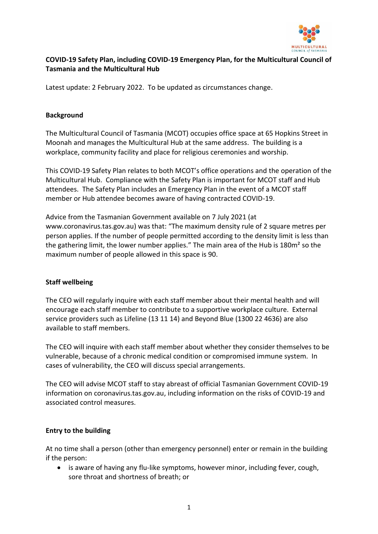

# **COVID-19 Safety Plan, including COVID-19 Emergency Plan, for the Multicultural Council of Tasmania and the Multicultural Hub**

Latest update: 2 February 2022. To be updated as circumstances change.

### **Background**

The Multicultural Council of Tasmania (MCOT) occupies office space at 65 Hopkins Street in Moonah and manages the Multicultural Hub at the same address. The building is a workplace, community facility and place for religious ceremonies and worship.

This COVID-19 Safety Plan relates to both MCOT's office operations and the operation of the Multicultural Hub. Compliance with the Safety Plan is important for MCOT staff and Hub attendees. The Safety Plan includes an Emergency Plan in the event of a MCOT staff member or Hub attendee becomes aware of having contracted COVID-19.

Advice from the Tasmanian Government available on 7 July 2021 (at www.coronavirus.tas.gov.au) was that: "The maximum density rule of 2 square metres per person applies. If the number of people permitted according to the density limit is less than the gathering limit, the lower number applies." The main area of the Hub is 180m² so the maximum number of people allowed in this space is 90.

#### **Staff wellbeing**

The CEO will regularly inquire with each staff member about their mental health and will encourage each staff member to contribute to a supportive workplace culture. External service providers such as Lifeline (13 11 14) and Beyond Blue (1300 22 4636) are also available to staff members.

The CEO will inquire with each staff member about whether they consider themselves to be vulnerable, because of a chronic medical condition or compromised immune system. In cases of vulnerability, the CEO will discuss special arrangements.

The CEO will advise MCOT staff to stay abreast of official Tasmanian Government COVID-19 information on coronavirus.tas.gov.au, including information on the risks of COVID-19 and associated control measures.

## **Entry to the building**

At no time shall a person (other than emergency personnel) enter or remain in the building if the person:

• is aware of having any flu-like symptoms, however minor, including fever, cough, sore throat and shortness of breath; or